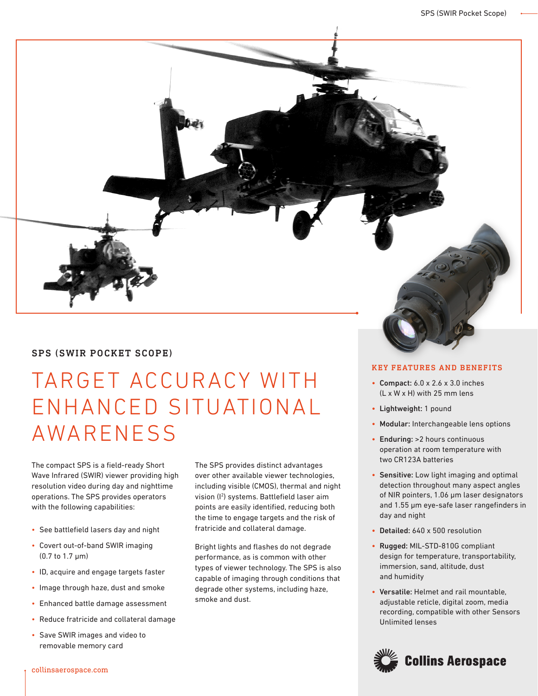

## SPS (SWIR POCKET SCOPE)

# TARGET ACCURACY WITH ENHANCED SITUATIONAL **AWARENESS**

The compact SPS is a field-ready Short Wave Infrared (SWIR) viewer providing high resolution video during day and nighttime operations. The SPS provides operators with the following capabilities:

- See battlefield lasers day and night
- Covert out-of-band SWIR imaging (0.7 to 1.7 µm)
- ID, acquire and engage targets faster
- Image through haze, dust and smoke
- Enhanced battle damage assessment
- Reduce fratricide and collateral damage
- Save SWIR images and video to removable memory card

The SPS provides distinct advantages over other available viewer technologies, including visible (CMOS), thermal and night vision (I2 ) systems. Battlefield laser aim points are easily identified, reducing both the time to engage targets and the risk of fratricide and collateral damage.

Bright lights and flashes do not degrade performance, as is common with other types of viewer technology. The SPS is also capable of imaging through conditions that degrade other systems, including haze, smoke and dust.

### KEY FEATURES AND BENEFITS

- Compact: 6.0 x 2.6 x 3.0 inches (L x W x H) with 25 mm lens
- Lightweight: 1 pound
- Modular: Interchangeable lens options
- Enduring: >2 hours continuous operation at room temperature with two CR123A batteries
- Sensitive: Low light imaging and optimal detection throughout many aspect angles of NIR pointers, 1.06 μm laser designators and 1.55 μm eye-safe laser rangefinders in day and night
- Detailed: 640 x 500 resolution
- Rugged: MIL-STD-810G compliant design for temperature, transportability, immersion, sand, altitude, dust and humidity
- Versatile: Helmet and rail mountable, adjustable reticle, digital zoom, media recording, compatible with other Sensors Unlimited lenses